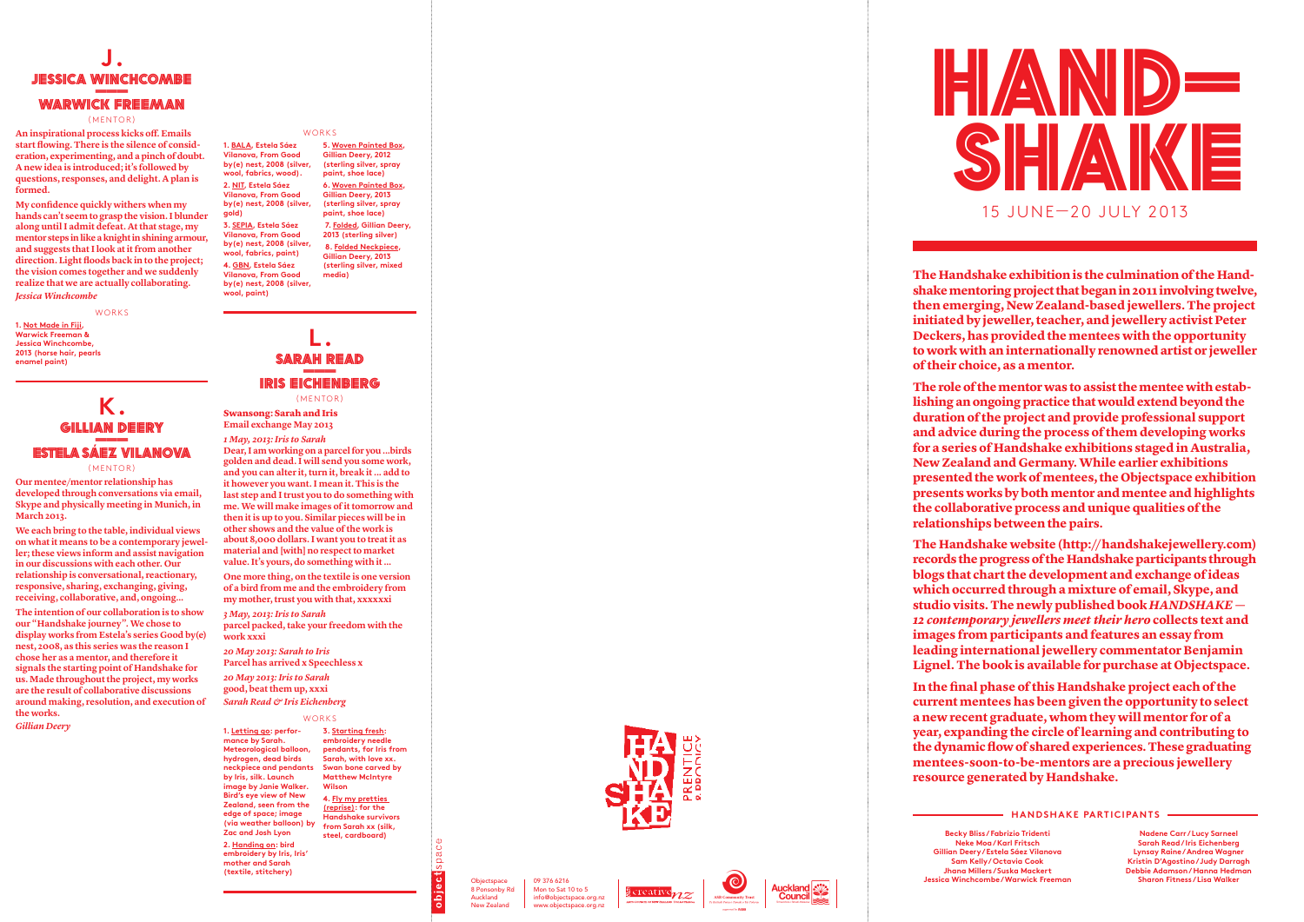## **K.** GILLIAN DEERY<br>———<br>------<sup>----------------</sup>---<mark>estela saez vilanova</mark>

(MENTOR)

**Our mentee/mentor relationship has developed through conversations via email, Skype and physically meeting in Munich, in March 2013.**

**We each bring to the table, individual views on what it means to be a contemporary jewel ler; these views inform and assist navigation in our discussions with each other. Our relationship is conversational, reactionary, responsive, sharing, exchanging, giving, receiving, collaborative, and, ongoing…**

## **L. SARA** h <u>ah Read</u><br>———<br>——————— Iris Eic henber g (MENTOR)

**The intention of our collaboration is to show our "Handshake journey". We chose to display works from Estela's series Good by(e) nest, 2008, as this series was the reason I chose her as a mentor, and therefore it signals the starting point of Handshake for us. Made throughout the project, my works are the result of collaborative discussions around making, resolution, and execution of the works.**

*Gillian Deery*

## **Hands h a ke participants**

**Becky Bliss / Fabrizio Tridenti Neke Moa / Karl Fritsch Gillian Deery / Estela Sáez Vilanova Sam Kelly / Octavia Cook Jhana Millers / Suska Mackert Jessica Winchcombe / Warwick Freeman**

**Nadene Carr / Lucy Sarneel Sarah Read / Iris Eichenberg Lynsay Raine / Andrea Wagner Kristin D 'Agostino / Judy Darragh Debbie Adamson / Hanna Hedman Sharon Fitness / Lisa Walker**

Swansong: Sarah and Iris **Email exchange May 2013**

*1 May, 2013: Iris to Sarah* **Dear, I am working on a parcel for you ...birds golden and dead. I will send you some work, and you can alter it, turn it, break it ... add to it however you want. I mean it. This is the last step and I trust you to do something with me. We will make images of it tomorrow and then it is up to you. Similar pieces will be in other shows and the value of the work is about 8,000 dollars. I want you to treat it as material and [with] no respect to market value. It's yours, do something with it …**

**nedia) The Handshake exhibition is the culmination of the Handshake mentoring project that began in 2011 involving twelve, then emerging, New Zealand-based jewellers. The project initiated by jeweller, teacher, and jewellery activist Peter Deckers, has provided the mentees with the opportunity to work with an internationally renowned artist or jeweller of their choice, as a mentor.**

**One more thing, on the textile is one version of a bird from me and the embroidery from my mother, trust you with that, xxxxxxi**

*3 May, 2013: Iris to Sarah* **parcel packed, take your freedom with the work xxxi**

*20 May 2013: Sarah to Iris* **Parcel has arrived x Speechless x**

*20 May 2013: Iris to Sarah* **good, beat them up, xxxi**

## *Sarah Read & Iris Eichenberg*

Works

**1. Letting go: perfor mance by Sarah. Meteorological balloon, hydrogen, dead birds neckpiece and pendants by Iris, silk. Launch image by Janie Walker. Bird's eye view of New Zealand, seen from the edge of space; image (via weather balloon) by Zac and Josh Lyon**

**2. Handing on: bird embroidery by Iris, Iris' mother and Sarah (textile, stitchery)**



Objectspace 8 Ponsonby Rd Auckland New Zealand

pace

**3. Starting fresh:**  embroidery needle **pendants, for Iris from Sarah, with love xx. Swan bone carved by Matthew Mc Intyre Wilson**

## **J. JIESSICA WINCHCOMBE** WARWICK FREEMAN

(MENTOR)

**4. Fly my pretties (reprise): for the Handshake survivors from Sarah xx (silk, steel, cardboard)**







## Works

**1. B A L A, Estela Sáez Vilanova, From Good by(e) nest, 2008 (silver, wool, fabrics, wood). 2. NIT, Estela Sáez Vilanova, From Good by(e) nest, 2008 (silver,** 

**gold) 3. SEPIA, Estela Sáez Vilanova, From Good by(e) nest, 2008 (silver, wool, fabrics, paint) 4. GB N, Estela Sáez Vilanova, From Good by(e) nest, 2008 (silver, wool, paint)**

**5. Woven Painted Box, Gillian Deery, 2012 (sterling silver, spray paint, shoe lace) 6. Woven Painted Box, Gillian Deery, 2013** 

**(sterling silver, spray paint, shoe lace) 7. Folded, Gillian Deery, 2013 (sterling silver)**

 **8. Folded Neckpiece, Gillian Deery, 2013 (sterling silver, mixed** 

> **The role of the mentor was to assist the mentee with estab lishing an ongoing practice that would extend beyond the duration of the project and provide professional support and advice during the process of them developing works for a series of Handshake exhibitions staged in Australia, New Zealand and Germany. While earlier exhibitions presented the work of mentees, the Objectspace exhibition presents works by both mentor and mentee and highlights the collaborative process and unique qualities of the relationships between the pairs.**

**The Handshake website (http://handshakejewellery.com) records the progress of the Handshake participants through blogs that chart the development and exchange of ideas which occurred through a mixture of email, Skype, and studio visits. The newly published book** *HANDSHAKE — 12 contemporary jewellers meet their hero* **collects text and images from participants and features an essay from leading international jewellery commentator Benjamin Lignel. The book is available for purchase at Objectspace.**

**In the final phase of this Handshake project each of the current mentees has been given the opportunity to select a new recent graduate, whom they will mentor for of a year, expanding the circle of learning and contributing to the dynamic flow of shared experiences. These graduating mentees-soon-to-be-mentors are a precious jewellery resource generated by Handshake.**

09 376 6216 Mon to Sat 10 to 5 info@objectspace.org.nz www.objectspace.org.nz

**An inspirational process kicks off. Emails start flowing. There is the silence of consid eration, experimenting, and a pinch of doubt. A new idea is introduced; it's followed by questions, responses, and delight. A plan is formed.** 

**My confidence quickly withers when my hands can't seem to grasp the vision. I blunder along until I admit defeat. At that stage, my mentor steps in like a knight in shining armour, and suggests that I look at it from another direction. Light floods back in to the project; the vision comes together and we suddenly realize that we are actually collaborating.** *Jessica Winchcombe*

Works

**1. Not Made in Fiji, Warwick Freeman & Jessica Winchcombe, 2013 (horse hair, pearls enamel paint)**